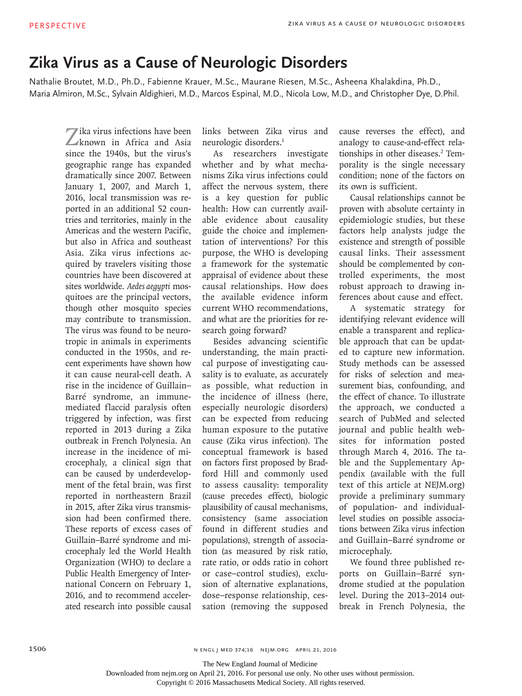## **Zika Virus as a Cause of Neurologic Disorders**

Nathalie Broutet, M.D., Ph.D., Fabienne Krauer, M.Sc., Maurane Riesen, M.Sc., Asheena Khalakdina, Ph.D., Maria Almiron, M.Sc., Sylvain Aldighieri, M.D., Marcos Espinal, M.D., Nicola Low, M.D., and Christopher Dye, D.Phil.

Zika virus infections have been known in Africa and Asia since the 1940s, but the virus's geographic range has expanded dramatically since 2007. Between January 1, 2007, and March 1, 2016, local transmission was reported in an additional 52 countries and territories, mainly in the Americas and the western Pacific, but also in Africa and southeast Asia. Zika virus infections acquired by travelers visiting those countries have been discovered at sites worldwide. *Aedes aegypti* mosquitoes are the principal vectors, though other mosquito species may contribute to transmission. The virus was found to be neurotropic in animals in experiments conducted in the 1950s, and recent experiments have shown how it can cause neural-cell death. A rise in the incidence of Guillain– Barré syndrome, an immunemediated flaccid paralysis often triggered by infection, was first reported in 2013 during a Zika outbreak in French Polynesia. An increase in the incidence of microcephaly, a clinical sign that can be caused by underdevelopment of the fetal brain, was first reported in northeastern Brazil in 2015, after Zika virus transmission had been confirmed there. These reports of excess cases of Guillain–Barré syndrome and microcephaly led the World Health Organization (WHO) to declare a Public Health Emergency of International Concern on February 1, 2016, and to recommend accelerated research into possible causal

links between Zika virus and neurologic disorders.1

As researchers investigate whether and by what mechanisms Zika virus infections could affect the nervous system, there is a key question for public health: How can currently available evidence about causality guide the choice and implementation of interventions? For this purpose, the WHO is developing a framework for the systematic appraisal of evidence about these causal relationships. How does the available evidence inform current WHO recommendations, and what are the priorities for research going forward?

Besides advancing scientific understanding, the main practical purpose of investigating causality is to evaluate, as accurately as possible, what reduction in the incidence of illness (here, especially neurologic disorders) can be expected from reducing human exposure to the putative cause (Zika virus infection). The conceptual framework is based on factors first proposed by Bradford Hill and commonly used to assess causality: temporality (cause precedes effect), biologic plausibility of causal mechanisms, consistency (same association found in different studies and populations), strength of association (as measured by risk ratio, rate ratio, or odds ratio in cohort or case–control studies), exclusion of alternative explanations, dose–response relationship, cessation (removing the supposed cause reverses the effect), and analogy to cause-and-effect relationships in other diseases.<sup>2</sup> Temporality is the single necessary condition; none of the factors on its own is sufficient.

Causal relationships cannot be proven with absolute certainty in epidemiologic studies, but these factors help analysts judge the existence and strength of possible causal links. Their assessment should be complemented by controlled experiments, the most robust approach to drawing inferences about cause and effect.

A systematic strategy for identifying relevant evidence will enable a transparent and replicable approach that can be updated to capture new information. Study methods can be assessed for risks of selection and measurement bias, confounding, and the effect of chance. To illustrate the approach, we conducted a search of PubMed and selected journal and public health websites for information posted through March 4, 2016. The table and the Supplementary Appendix (available with the full text of this article at NEJM.org) provide a preliminary summary of population- and individuallevel studies on possible associations between Zika virus infection and Guillain–Barré syndrome or microcephaly.

We found three published reports on Guillain–Barré syndrome studied at the population level. During the 2013–2014 outbreak in French Polynesia, the

The New England Journal of Medicine

Downloaded from nejm.org on April 21, 2016. For personal use only. No other uses without permission.

Copyright © 2016 Massachusetts Medical Society. All rights reserved.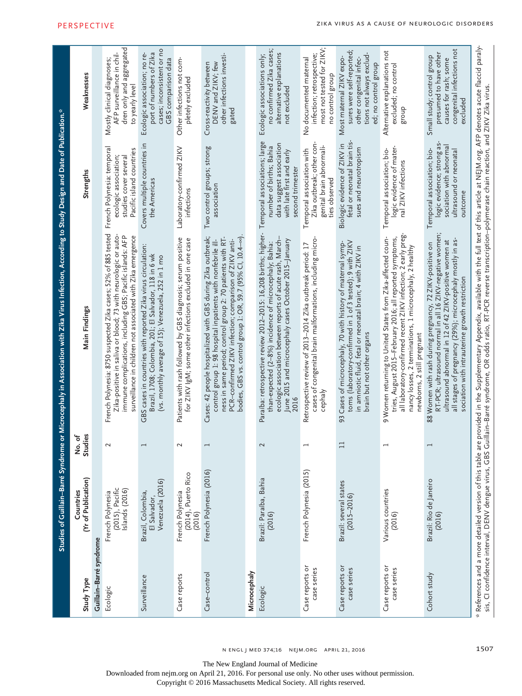| Study Type                     | (Yr of Publication)<br>Countries                      | Studies<br>No.of         | Main Findings                                                                                                                                                                                                                                                                                                                                                             | Strengths                                                                                                                            | Weaknesses                                                                                                                           |
|--------------------------------|-------------------------------------------------------|--------------------------|---------------------------------------------------------------------------------------------------------------------------------------------------------------------------------------------------------------------------------------------------------------------------------------------------------------------------------------------------------------------------|--------------------------------------------------------------------------------------------------------------------------------------|--------------------------------------------------------------------------------------------------------------------------------------|
| Guillain-Barré syndrome        |                                                       |                          |                                                                                                                                                                                                                                                                                                                                                                           |                                                                                                                                      |                                                                                                                                      |
| Ecologic                       | (2015), Pacific<br>Islands (2016)<br>French Polynesia | 2                        | French Polynesia: 8750 suspected Zika cases; 52% of 885 tested<br>Zika-positive in saliva or blood; 73 with neurologic or auto-<br>immune complications, including GBS; Pacific islands: AFP<br>surveillance in children not associated with Zika emergence                                                                                                               | French Polynesia: temporal<br>Pacific island countries<br>ecologic association;<br>studies cover severa                              | dren only and aggregated<br>AFP surveillance in chil<br>Mostly clinical diagnoses;<br>to yearly level                                |
| Surveillance                   | Venezuela (2016)<br>Brazil, Colombia,<br>El Salvador, | $\overline{\phantom{0}}$ | GBS cases in countries with reported Zika virus circulation:<br>Brazil, 1708; Colombia, 201; El Salvador, 118 in 6 wk<br>(vs. monthly average of 15); Venezuela, 252 in 1 mo                                                                                                                                                                                              | Covers multiple countries in<br>the Americas                                                                                         | cases; inconsistent or no<br>port of numbers of Zika<br>Ecologic association; no re-<br>GBS comparison data                          |
| Case reports                   | (2014), Puerto Rico<br>French Polynesia<br>(2016)     | $\sim$                   | Patients with rash followed by GBS diagnosis; serum positive<br>for ZIKV IgM; some other infections excluded in one case                                                                                                                                                                                                                                                  | Laboratory-confirmed ZIKV<br>infections                                                                                              | Other infections not com-<br>pletely excluded                                                                                        |
| Case-control                   | French Polynesia (2016)                               | $\overline{\phantom{0}}$ | bodies, GBS vs. control group 1: OR, 59.7 (95% CI, 10.4-00)<br>Cases: 42 people hospitalized with GBS during Zika outbreak;<br>ness in same period; control group 2: 70 patients with RT-<br>PCR-confirmed ZIKV infection; comparison of ZIKV anti-<br>control group 1: 98 hospital inpatients with nonfebrile ill-                                                       | Two control groups; strong<br>association                                                                                            | other infections investi-<br>DENV and ZIKV; few<br>Cross-reactivity between<br>gated                                                 |
| Microcephaly                   |                                                       |                          |                                                                                                                                                                                                                                                                                                                                                                           |                                                                                                                                      |                                                                                                                                      |
| Ecologic                       | Brazil: Paraíba, Bahia<br>(2016)                      | 2                        | Paraíba: retrospective review 2012-2015: 16,208 births; higher-<br>ecologic association between reports of acute rash, March-<br>June 2015 and microcephaly cases October 2015-January<br>than-expected (2-8%) incidence of microcephaly; Bahia:<br>2016                                                                                                                  | Temporal associations; large<br>data suggest association<br>number of births; Bahia<br>with late first and early<br>second trimester | no confirmed Zika cases;<br>alternative explanations<br>Ecologic associations only;<br>not excluded                                  |
| Case reports or<br>case series | French Polynesia (2015)                               | $\overline{\phantom{0}}$ | cases of congenital brain malformations, including micro-<br>Retrospective review of 2013-2014 Zika outbreak period: 17<br>cephaly                                                                                                                                                                                                                                        | Zika outbreak; other con<br>genital brain abnormali-<br>Temporal association with<br>ties observed                                   | most not tested for ZIKV;<br>infection; retrospective;<br>No documented maternal<br>no control group                                 |
| Case reports or<br>case series | Brazil: several states<br>$(2015 - 2016)$             | ⊟                        | toms (laboratory-confirmed in 1 of 3 tested); 9 with ZIKV<br>Cases of microcephaly, 70 with history of maternal symp-<br>in amniotic fluid, fetal or neonatal brain; 4 with ZIKV in<br>brain but not other organs<br>93                                                                                                                                                   | fetal or neonatal brain tis-<br>Biologic evidence of ZIKV in<br>sues and neurotropism                                                | sures were self-reported;<br>tions not always exclud-<br>Most maternal ZIKV expo-<br>other congenital infec-<br>ed; no control group |
| Case reports or<br>case series | Various countries<br>(2016)                           | $\overline{\phantom{0}}$ | all laboratory-confirmed recent ZIKV infection; 2 early preg-<br>9 Women returning to United States from Zika-affected coun-<br>tries, August 2015-February 2016; all reported symptoms,<br>nancy losses, 2 terminations, 1 microcephaly, 2 healthy<br>newborns, 2 still pregnant                                                                                         | logic evidence of mater-<br>Temporal association; bio-<br>nal ZIKV infections                                                        | Alternative explanations not<br>excluded; no control<br>dno.a                                                                        |
| Cohort study                   | Brazil: Rio de Janeiro<br>(2016)                      | $\overline{}$            | RT-PCR; ultrasound normal in all 16 ZIKV-negative women;<br>all stages of pregnancy (29%); microcephaly mostly in as-<br>ultrasound abnormal in 12 of 42 ZIKV-positive women at<br>88 Women with rash during pregnancy, 72 ZIKV-positive on<br>sociation with intrauterine growth restriction                                                                             | logic evidence; strong as-<br>sociation with abnormal<br>Temporal association; bio-<br>ultrasound or neonatal<br>outcome             | congenital infections not<br>presumed to have other<br>Small study; control group<br>causes for rash; some<br>excluded               |
|                                |                                                       |                          | * References and a more detailed version of this table are provided in the Supplementary Appendix, available with the full text of this article at NEJM.org. AFP denotes acute flaccid paraly<br>sis, CI confidence interval, DENV dengue virus, GBS Guillain-Barré syndrome, OR odds ratio, RT-PCR reverse transcription-polymerase chain reaction, and ZIKV ZIka virus. |                                                                                                                                      |                                                                                                                                      |

1507

The New England Journal of Medicine

n engl j med 374;16 nejm.org April 21, 2016

Downloaded from nejm.org on April 21, 2016. For personal use only. No other uses without permission.

Copyright © 2016 Massachusetts Medical Society. All rights reserved.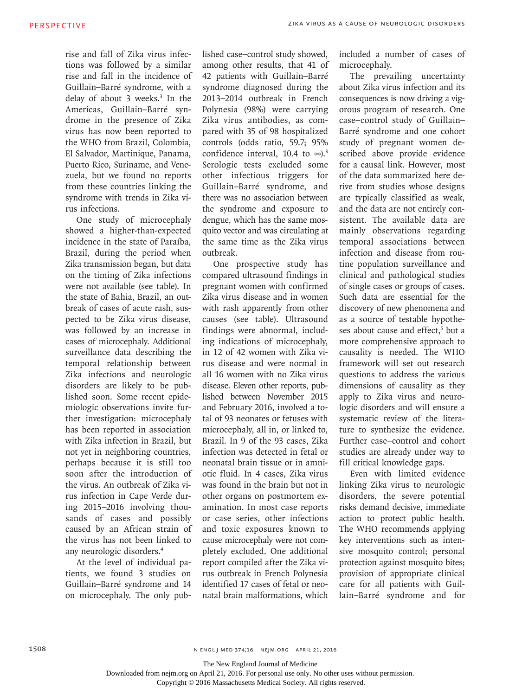rise and fall of Zika virus infections was followed by a similar rise and fall in the incidence of Guillain–Barré syndrome, with a delay of about 3 weeks.3 In the Americas, Guillain–Barré syndrome in the presence of Zika virus has now been reported to the WHO from Brazil, Colombia, El Salvador, Martinique, Panama, Puerto Rico, Suriname, and Venezuela, but we found no reports from these countries linking the syndrome with trends in Zika virus infections.

One study of microcephaly showed a higher-than-expected incidence in the state of Paraíba, Brazil, during the period when Zika transmission began, but data on the timing of Zika infections were not available (see table). In the state of Bahia, Brazil, an outbreak of cases of acute rash, suspected to be Zika virus disease, was followed by an increase in cases of microcephaly. Additional surveillance data describing the temporal relationship between Zika infections and neurologic disorders are likely to be published soon. Some recent epidemiologic observations invite further investigation: microcephaly has been reported in association with Zika infection in Brazil, but not yet in neighboring countries, perhaps because it is still too soon after the introduction of the virus. An outbreak of Zika virus infection in Cape Verde during 2015–2016 involving thousands of cases and possibly caused by an African strain of the virus has not been linked to any neurologic disorders.4

At the level of individual patients, we found 3 studies on Guillain–Barré syndrome and 14 on microcephaly. The only published case–control study showed, among other results, that 41 of 42 patients with Guillain–Barré syndrome diagnosed during the 2013–2014 outbreak in French Polynesia (98%) were carrying Zika virus antibodies, as compared with 35 of 98 hospitalized controls (odds ratio, 59.7; 95% confidence interval, 10.4 to  $\infty$ ).<sup>3</sup> Serologic tests excluded some other infectious triggers for Guillain–Barré syndrome, and there was no association between the syndrome and exposure to dengue, which has the same mosquito vector and was circulating at the same time as the Zika virus outbreak.

One prospective study has compared ultrasound findings in pregnant women with confirmed Zika virus disease and in women with rash apparently from other causes (see table). Ultrasound findings were abnormal, including indications of microcephaly, in 12 of 42 women with Zika virus disease and were normal in all 16 women with no Zika virus disease. Eleven other reports, published between November 2015 and February 2016, involved a total of 93 neonates or fetuses with microcephaly, all in, or linked to, Brazil. In 9 of the 93 cases, Zika infection was detected in fetal or neonatal brain tissue or in amniotic fluid. In 4 cases, Zika virus was found in the brain but not in other organs on postmortem examination. In most case reports or case series, other infections and toxic exposures known to cause microcephaly were not completely excluded. One additional report compiled after the Zika virus outbreak in French Polynesia identified 17 cases of fetal or neonatal brain malformations, which included a number of cases of microcephaly.

The prevailing uncertainty about Zika virus infection and its consequences is now driving a vigorous program of research. One case–control study of Guillain– Barré syndrome and one cohort study of pregnant women described above provide evidence for a causal link. However, most of the data summarized here derive from studies whose designs are typically classified as weak, and the data are not entirely consistent. The available data are mainly observations regarding temporal associations between infection and disease from routine population surveillance and clinical and pathological studies of single cases or groups of cases. Such data are essential for the discovery of new phenomena and as a source of testable hypotheses about cause and effect,<sup>5</sup> but a more comprehensive approach to causality is needed. The WHO framework will set out research questions to address the various dimensions of causality as they apply to Zika virus and neurologic disorders and will ensure a systematic review of the literature to synthesize the evidence. Further case–control and cohort studies are already under way to fill critical knowledge gaps.

Even with limited evidence linking Zika virus to neurologic disorders, the severe potential risks demand decisive, immediate action to protect public health. The WHO recommends applying key interventions such as intensive mosquito control; personal protection against mosquito bites; provision of appropriate clinical care for all patients with Guillain–Barré syndrome and for

n engl j med 374;16 nejm.org April 21, 2016

The New England Journal of Medicine

Downloaded from nejm.org on April 21, 2016. For personal use only. No other uses without permission.

Copyright © 2016 Massachusetts Medical Society. All rights reserved.